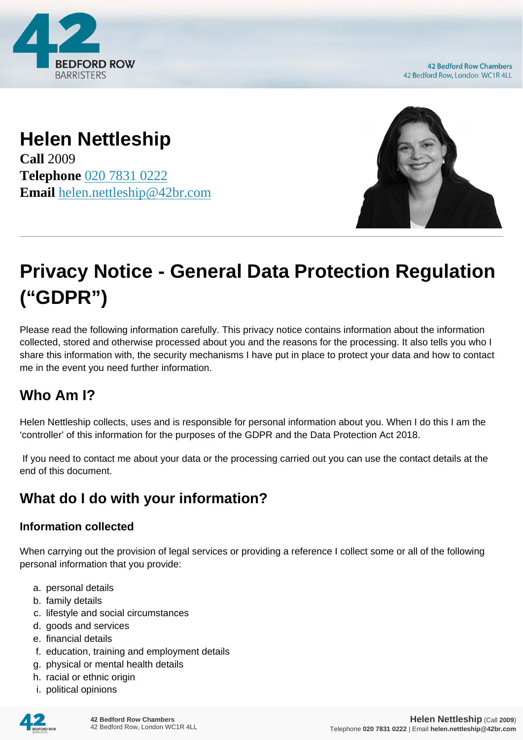

**42 Bedford Row Chambers** 42 Bedford Row, London WC1R 4LL

# **Helen Nettleship**

**Call** 2009 **Telephone** [020 7831 0222](https://pdf.codeshore.co/_42br/tel:020 7831 0222) **Email** [helen.nettleship@42br.com](mailto:helen.nettleship@42br.com)



# **Privacy Notice - General Data Protection Regulation ("GDPR")**

Please read the following information carefully. This privacy notice contains information about the information collected, stored and otherwise processed about you and the reasons for the processing. It also tells you who I share this information with, the security mechanisms I have put in place to protect your data and how to contact me in the event you need further information.

### **Who Am I?**

Helen Nettleship collects, uses and is responsible for personal information about you. When I do this I am the 'controller' of this information for the purposes of the GDPR and the Data Protection Act 2018.

 If you need to contact me about your data or the processing carried out you can use the contact details at the end of this document.

# **What do I do with your information?**

#### **Information collected**

When carrying out the provision of legal services or providing a reference I collect some or all of the following personal information that you provide:

- a. personal details
- b. family details
- c. lifestyle and social circumstances
- d. goods and services
- e. financial details
- f. education, training and employment details
- g. physical or mental health details
- h. racial or ethnic origin
- i. political opinions

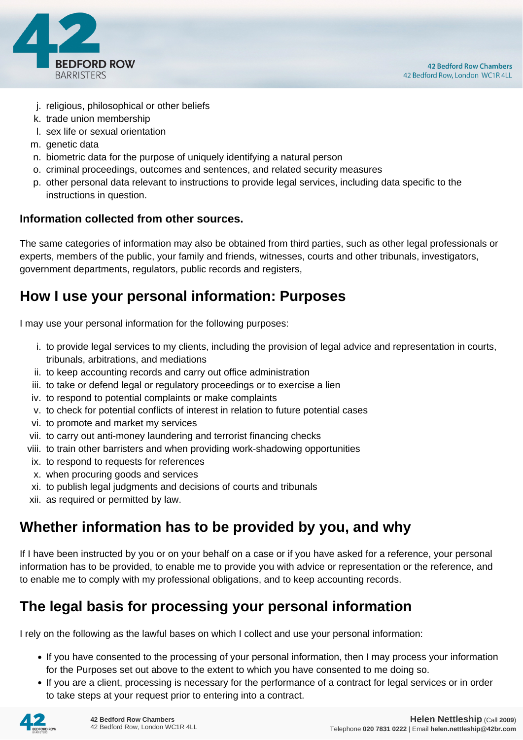

- j. religious, philosophical or other beliefs
- k. trade union membership
- l. sex life or sexual orientation
- m. genetic data
- n. biometric data for the purpose of uniquely identifying a natural person
- o. criminal proceedings, outcomes and sentences, and related security measures
- p. other personal data relevant to instructions to provide legal services, including data specific to the instructions in question.

#### **Information collected from other sources.**

The same categories of information may also be obtained from third parties, such as other legal professionals or experts, members of the public, your family and friends, witnesses, courts and other tribunals, investigators, government departments, regulators, public records and registers,

#### **How I use your personal information: Purposes**

I may use your personal information for the following purposes:

- i. to provide legal services to my clients, including the provision of legal advice and representation in courts, tribunals, arbitrations, and mediations
- ii. to keep accounting records and carry out office administration
- iii. to take or defend legal or regulatory proceedings or to exercise a lien
- iv. to respond to potential complaints or make complaints
- v. to check for potential conflicts of interest in relation to future potential cases
- vi. to promote and market my services
- vii. to carry out anti-money laundering and terrorist financing checks
- viii. to train other barristers and when providing work-shadowing opportunities
- ix. to respond to requests for references
- x. when procuring goods and services
- xi. to publish legal judgments and decisions of courts and tribunals
- xii. as required or permitted by law.

#### **Whether information has to be provided by you, and why**

If I have been instructed by you or on your behalf on a case or if you have asked for a reference, your personal information has to be provided, to enable me to provide you with advice or representation or the reference, and to enable me to comply with my professional obligations, and to keep accounting records.

#### **The legal basis for processing your personal information**

I rely on the following as the lawful bases on which I collect and use your personal information:

- If you have consented to the processing of your personal information, then I may process your information for the Purposes set out above to the extent to which you have consented to me doing so.
- If you are a client, processing is necessary for the performance of a contract for legal services or in order to take steps at your request prior to entering into a contract.

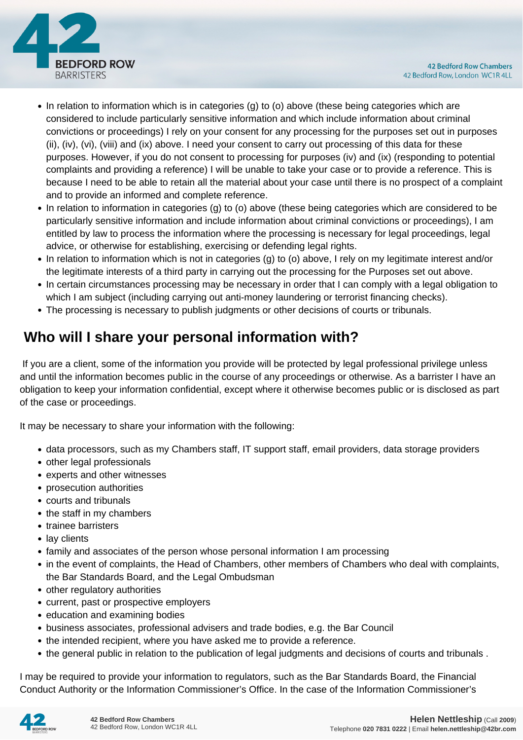

- In relation to information which is in categories (g) to (o) above (these being categories which are considered to include particularly sensitive information and which include information about criminal convictions or proceedings) I rely on your consent for any processing for the purposes set out in purposes (ii), (iv), (vi), (viii) and (ix) above. I need your consent to carry out processing of this data for these purposes. However, if you do not consent to processing for purposes (iv) and (ix) (responding to potential complaints and providing a reference) I will be unable to take your case or to provide a reference. This is because I need to be able to retain all the material about your case until there is no prospect of a complaint and to provide an informed and complete reference.
- In relation to information in categories (g) to (o) above (these being categories which are considered to be particularly sensitive information and include information about criminal convictions or proceedings), I am entitled by law to process the information where the processing is necessary for legal proceedings, legal advice, or otherwise for establishing, exercising or defending legal rights.
- In relation to information which is not in categories (g) to (o) above, I rely on my legitimate interest and/or the legitimate interests of a third party in carrying out the processing for the Purposes set out above.
- In certain circumstances processing may be necessary in order that I can comply with a legal obligation to which I am subject (including carrying out anti-money laundering or terrorist financing checks).
- The processing is necessary to publish judgments or other decisions of courts or tribunals.

## **Who will I share your personal information with?**

 If you are a client, some of the information you provide will be protected by legal professional privilege unless and until the information becomes public in the course of any proceedings or otherwise. As a barrister I have an obligation to keep your information confidential, except where it otherwise becomes public or is disclosed as part of the case or proceedings.

It may be necessary to share your information with the following:

- data processors, such as my Chambers staff, IT support staff, email providers, data storage providers
- other legal professionals
- experts and other witnesses
- prosecution authorities
- courts and tribunals
- the staff in my chambers
- trainee barristers
- lay clients
- family and associates of the person whose personal information I am processing
- in the event of complaints, the Head of Chambers, other members of Chambers who deal with complaints, the Bar Standards Board, and the Legal Ombudsman
- other regulatory authorities
- current, past or prospective employers
- education and examining bodies
- business associates, professional advisers and trade bodies, e.g. the Bar Council
- the intended recipient, where you have asked me to provide a reference.
- the general public in relation to the publication of legal judgments and decisions of courts and tribunals .

I may be required to provide your information to regulators, such as the Bar Standards Board, the Financial Conduct Authority or the Information Commissioner's Office. In the case of the Information Commissioner's

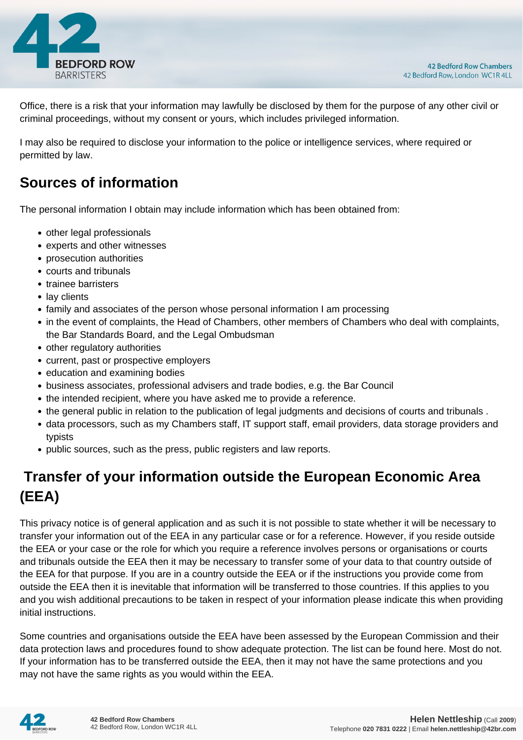

Office, there is a risk that your information may lawfully be disclosed by them for the purpose of any other civil or criminal proceedings, without my consent or yours, which includes privileged information.

I may also be required to disclose your information to the police or intelligence services, where required or permitted by law.

#### **Sources of information**

The personal information I obtain may include information which has been obtained from:

- other legal professionals
- experts and other witnesses
- prosecution authorities
- courts and tribunals
- trainee barristers
- lay clients
- family and associates of the person whose personal information I am processing
- in the event of complaints, the Head of Chambers, other members of Chambers who deal with complaints, the Bar Standards Board, and the Legal Ombudsman
- other regulatory authorities
- current, past or prospective employers
- education and examining bodies
- business associates, professional advisers and trade bodies, e.g. the Bar Council
- the intended recipient, where you have asked me to provide a reference.
- the general public in relation to the publication of legal judgments and decisions of courts and tribunals .
- data processors, such as my Chambers staff, IT support staff, email providers, data storage providers and typists
- public sources, such as the press, public registers and law reports.

# **Transfer of your information outside the European Economic Area (EEA)**

This privacy notice is of general application and as such it is not possible to state whether it will be necessary to transfer your information out of the EEA in any particular case or for a reference. However, if you reside outside the EEA or your case or the role for which you require a reference involves persons or organisations or courts and tribunals outside the EEA then it may be necessary to transfer some of your data to that country outside of the EEA for that purpose. If you are in a country outside the EEA or if the instructions you provide come from outside the EEA then it is inevitable that information will be transferred to those countries. If this applies to you and you wish additional precautions to be taken in respect of your information please indicate this when providing initial instructions.

Some countries and organisations outside the EEA have been assessed by the European Commission and their data protection laws and procedures found to show adequate protection. The list can be found here. Most do not. If your information has to be transferred outside the EEA, then it may not have the same protections and you may not have the same rights as you would within the EEA.

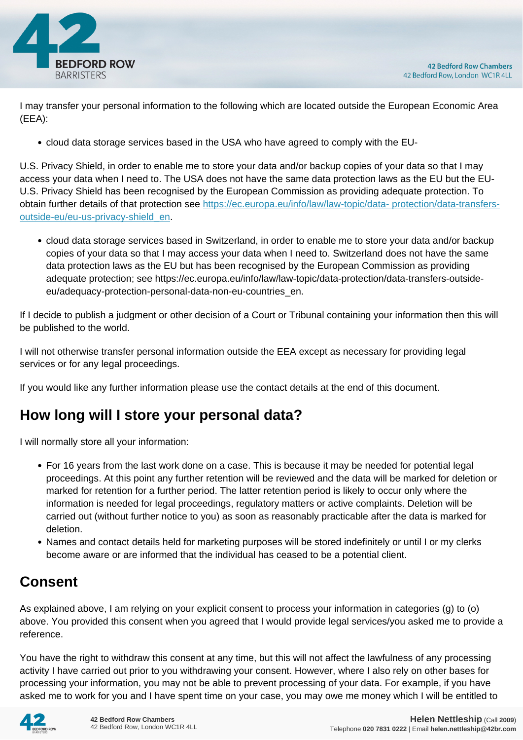

I may transfer your personal information to the following which are located outside the European Economic Area (EEA):

cloud data storage services based in the USA who have agreed to comply with the EU-

U.S. Privacy Shield, in order to enable me to store your data and/or backup copies of your data so that I may access your data when I need to. The USA does not have the same data protection laws as the EU but the EU-U.S. Privacy Shield has been recognised by the European Commission as providing adequate protection. To obtain further details of that protection see [https://ec.europa.eu/info/law/law-topic/data- protection/data-transfers](https://ec.europa.eu/info/law/law-topic/data- protection/data-transfers-outside-eu/eu-us-privacy-shield_en)[outside-eu/eu-us-privacy-shield\\_en.](https://ec.europa.eu/info/law/law-topic/data- protection/data-transfers-outside-eu/eu-us-privacy-shield_en)

cloud data storage services based in Switzerland, in order to enable me to store your data and/or backup copies of your data so that I may access your data when I need to. Switzerland does not have the same data protection laws as the EU but has been recognised by the European Commission as providing adequate protection; see https://ec.europa.eu/info/law/law-topic/data-protection/data-transfers-outsideeu/adequacy-protection-personal-data-non-eu-countries\_en.

If I decide to publish a judgment or other decision of a Court or Tribunal containing your information then this will be published to the world.

I will not otherwise transfer personal information outside the EEA except as necessary for providing legal services or for any legal proceedings.

If you would like any further information please use the contact details at the end of this document.

#### **How long will I store your personal data?**

I will normally store all your information:

- For 16 years from the last work done on a case. This is because it may be needed for potential legal proceedings. At this point any further retention will be reviewed and the data will be marked for deletion or marked for retention for a further period. The latter retention period is likely to occur only where the information is needed for legal proceedings, regulatory matters or active complaints. Deletion will be carried out (without further notice to you) as soon as reasonably practicable after the data is marked for deletion.
- Names and contact details held for marketing purposes will be stored indefinitely or until I or my clerks become aware or are informed that the individual has ceased to be a potential client.

### **Consent**

As explained above, I am relying on your explicit consent to process your information in categories (g) to (o) above. You provided this consent when you agreed that I would provide legal services/you asked me to provide a reference.

You have the right to withdraw this consent at any time, but this will not affect the lawfulness of any processing activity I have carried out prior to you withdrawing your consent. However, where I also rely on other bases for processing your information, you may not be able to prevent processing of your data. For example, if you have asked me to work for you and I have spent time on your case, you may owe me money which I will be entitled to

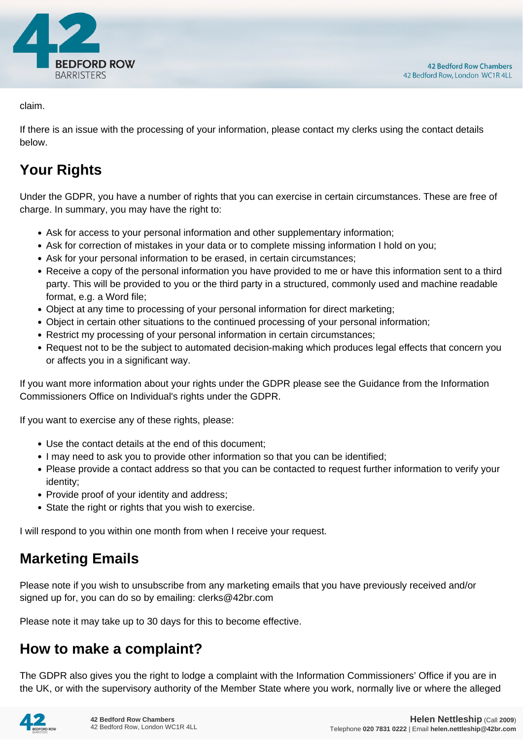

claim.

If there is an issue with the processing of your information, please contact my clerks using the contact details below.

# **Your Rights**

Under the GDPR, you have a number of rights that you can exercise in certain circumstances. These are free of charge. In summary, you may have the right to:

- Ask for access to your personal information and other supplementary information;
- Ask for correction of mistakes in your data or to complete missing information I hold on you;
- Ask for your personal information to be erased, in certain circumstances;
- Receive a copy of the personal information you have provided to me or have this information sent to a third party. This will be provided to you or the third party in a structured, commonly used and machine readable format, e.g. a Word file;
- Object at any time to processing of your personal information for direct marketing;
- Object in certain other situations to the continued processing of your personal information;
- Restrict my processing of your personal information in certain circumstances;
- Request not to be the subject to automated decision-making which produces legal effects that concern you or affects you in a significant way.

If you want more information about your rights under the GDPR please see the Guidance from the Information Commissioners Office on Individual's rights under the GDPR.

If you want to exercise any of these rights, please:

- Use the contact details at the end of this document;
- I may need to ask you to provide other information so that you can be identified;
- Please provide a contact address so that you can be contacted to request further information to verify your identity;
- Provide proof of your identity and address;
- State the right or rights that you wish to exercise.

I will respond to you within one month from when I receive your request.

#### **Marketing Emails**

Please note if you wish to unsubscribe from any marketing emails that you have previously received and/or signed up for, you can do so by emailing: clerks@42br.com

Please note it may take up to 30 days for this to become effective.

#### **How to make a complaint?**

The GDPR also gives you the right to lodge a complaint with the Information Commissioners' Office if you are in the UK, or with the supervisory authority of the Member State where you work, normally live or where the alleged